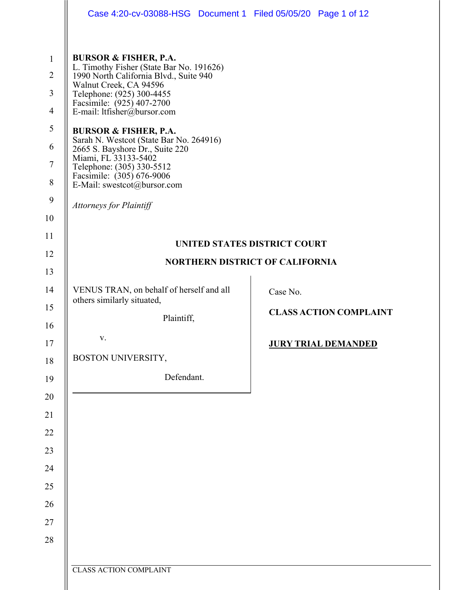|                                                                                                              | Case 4:20-cv-03088-HSG Document 1 Filed 05/05/20 Page 1 of 12                                                                                                                                                                                                                                                                                                                                                                                                                                                  |          |                                                             |
|--------------------------------------------------------------------------------------------------------------|----------------------------------------------------------------------------------------------------------------------------------------------------------------------------------------------------------------------------------------------------------------------------------------------------------------------------------------------------------------------------------------------------------------------------------------------------------------------------------------------------------------|----------|-------------------------------------------------------------|
| $\mathbf{1}$<br>$\overline{2}$<br>$\mathfrak{Z}$<br>$\overline{4}$<br>5<br>6<br>$\tau$<br>$\,8\,$<br>9<br>10 | <b>BURSOR &amp; FISHER, P.A.</b><br>L. Timothy Fisher (State Bar No. 191626)<br>1990 North California Blvd., Suite 940<br>Walnut Creek, CA 94596<br>Telephone: (925) 300-4455<br>Facsimile: (925) 407-2700<br>E-mail: ltfisher@bursor.com<br><b>BURSOR &amp; FISHER, P.A.</b><br>Sarah N. Westcot (State Bar No. 264916)<br>2665 S. Bayshore Dr., Suite 220<br>Miami, FL 33133-5402<br>Telephone: (305) 330-5512<br>Facsimile: (305) 676-9006<br>E-Mail: swestcot@bursor.com<br><b>Attorneys for Plaintiff</b> |          |                                                             |
| 11<br>12                                                                                                     | <b>UNITED STATES DISTRICT COURT</b><br><b>NORTHERN DISTRICT OF CALIFORNIA</b>                                                                                                                                                                                                                                                                                                                                                                                                                                  |          |                                                             |
| 13<br>14<br>15<br>16<br>17<br>18<br>19<br>20<br>21<br>22<br>23<br>24<br>25<br>26<br>27<br>28                 | VENUS TRAN, on behalf of herself and all<br>others similarly situated,<br>Plaintiff,<br>V.<br>BOSTON UNIVERSITY,<br>Defendant.                                                                                                                                                                                                                                                                                                                                                                                 | Case No. | <b>CLASS ACTION COMPLAINT</b><br><b>JURY TRIAL DEMANDED</b> |
|                                                                                                              | <b>CLASS ACTION COMPLAINT</b>                                                                                                                                                                                                                                                                                                                                                                                                                                                                                  |          |                                                             |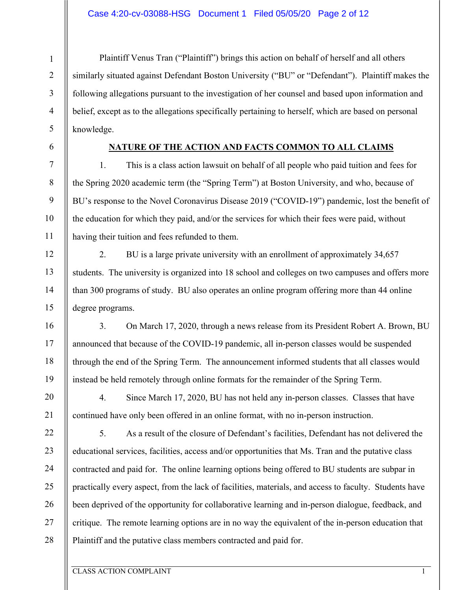Plaintiff Venus Tran ("Plaintiff") brings this action on behalf of herself and all others similarly situated against Defendant Boston University ("BU" or "Defendant"). Plaintiff makes the following allegations pursuant to the investigation of her counsel and based upon information and belief, except as to the allegations specifically pertaining to herself, which are based on personal knowledge.

### **NATURE OF THE ACTION AND FACTS COMMON TO ALL CLAIMS**

1. This is a class action lawsuit on behalf of all people who paid tuition and fees for the Spring 2020 academic term (the "Spring Term") at Boston University, and who, because of BU's response to the Novel Coronavirus Disease 2019 ("COVID-19") pandemic, lost the benefit of the education for which they paid, and/or the services for which their fees were paid, without having their tuition and fees refunded to them.

2. BU is a large private university with an enrollment of approximately 34,657 students. The university is organized into 18 school and colleges on two campuses and offers more than 300 programs of study. BU also operates an online program offering more than 44 online degree programs.

3. On March 17, 2020, through a news release from its President Robert A. Brown, BU announced that because of the COVID-19 pandemic, all in-person classes would be suspended through the end of the Spring Term. The announcement informed students that all classes would instead be held remotely through online formats for the remainder of the Spring Term.

4. Since March 17, 2020, BU has not held any in-person classes. Classes that have continued have only been offered in an online format, with no in-person instruction.

24 5. As a result of the closure of Defendant's facilities, Defendant has not delivered the educational services, facilities, access and/or opportunities that Ms. Tran and the putative class contracted and paid for. The online learning options being offered to BU students are subpar in practically every aspect, from the lack of facilities, materials, and access to faculty. Students have been deprived of the opportunity for collaborative learning and in-person dialogue, feedback, and critique. The remote learning options are in no way the equivalent of the in-person education that Plaintiff and the putative class members contracted and paid for.

1

2

3

4

5

6

7

8

9

10

11

12

13

14

15

16

17

18

19

20

21

22

23

25

26

27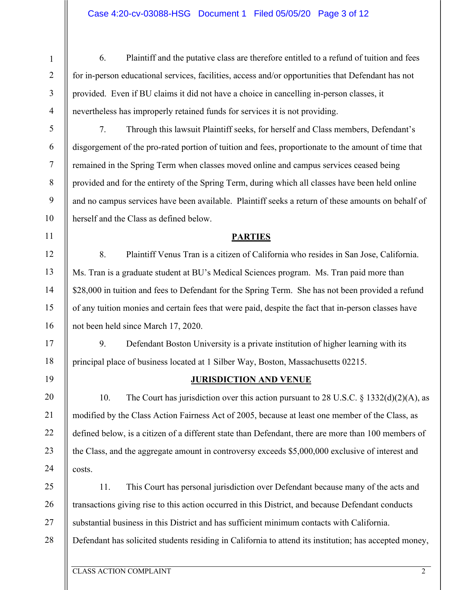6. Plaintiff and the putative class are therefore entitled to a refund of tuition and fees for in-person educational services, facilities, access and/or opportunities that Defendant has not provided. Even if BU claims it did not have a choice in cancelling in-person classes, it nevertheless has improperly retained funds for services it is not providing.

7. Through this lawsuit Plaintiff seeks, for herself and Class members, Defendant's disgorgement of the pro-rated portion of tuition and fees, proportionate to the amount of time that remained in the Spring Term when classes moved online and campus services ceased being provided and for the entirety of the Spring Term, during which all classes have been held online and no campus services have been available. Plaintiff seeks a return of these amounts on behalf of herself and the Class as defined below.

### **PARTIES**

8. Plaintiff Venus Tran is a citizen of California who resides in San Jose, California. Ms. Tran is a graduate student at BU's Medical Sciences program. Ms. Tran paid more than \$28,000 in tuition and fees to Defendant for the Spring Term. She has not been provided a refund of any tuition monies and certain fees that were paid, despite the fact that in-person classes have not been held since March 17, 2020.

9. Defendant Boston University is a private institution of higher learning with its principal place of business located at 1 Silber Way, Boston, Massachusetts 02215.

### **JURISDICTION AND VENUE**

10. The Court has jurisdiction over this action pursuant to 28 U.S.C. § 1332(d)(2)(A), as modified by the Class Action Fairness Act of 2005, because at least one member of the Class, as defined below, is a citizen of a different state than Defendant, there are more than 100 members of the Class, and the aggregate amount in controversy exceeds \$5,000,000 exclusive of interest and costs.

25 26 27 28 11. This Court has personal jurisdiction over Defendant because many of the acts and transactions giving rise to this action occurred in this District, and because Defendant conducts substantial business in this District and has sufficient minimum contacts with California. Defendant has solicited students residing in California to attend its institution; has accepted money,

1

2

3

4

5

6

7

8

9

10

11

12

13

14

15

16

17

18

19

20

21

22

23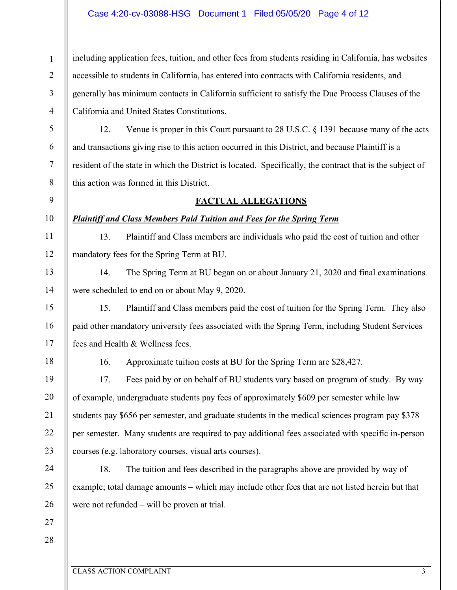### Case 4:20-cv-03088-HSG Document 1 Filed 05/05/20 Page 4 of 12

including application fees, tuition, and other fees from students residing in California, has websites accessible to students in California, has entered into contracts with California residents, and generally has minimum contacts in California sufficient to satisfy the Due Process Clauses of the California and United States Constitutions.

12. Venue is proper in this Court pursuant to 28 U.S.C. § 1391 because many of the acts and transactions giving rise to this action occurred in this District, and because Plaintiff is a resident of the state in which the District is located. Specifically, the contract that is the subject of this action was formed in this District.

### **FACTUAL ALLEGATIONS**

### 10

1

2

3

4

5

6

7

8

9

11

12

13

14

15

16

17

19

20

21

22

23

24

25

26

*Plaintiff and Class Members Paid Tuition and Fees for the Spring Term*

13. Plaintiff and Class members are individuals who paid the cost of tuition and other mandatory fees for the Spring Term at BU.

14. The Spring Term at BU began on or about January 21, 2020 and final examinations were scheduled to end on or about May 9, 2020.

15. Plaintiff and Class members paid the cost of tuition for the Spring Term. They also paid other mandatory university fees associated with the Spring Term, including Student Services fees and Health & Wellness fees.

18

16. Approximate tuition costs at BU for the Spring Term are \$28,427.

17. Fees paid by or on behalf of BU students vary based on program of study. By way of example, undergraduate students pay fees of approximately \$609 per semester while law students pay \$656 per semester, and graduate students in the medical sciences program pay \$378 per semester. Many students are required to pay additional fees associated with specific in-person courses (e.g. laboratory courses, visual arts courses).

18. The tuition and fees described in the paragraphs above are provided by way of example; total damage amounts – which may include other fees that are not listed herein but that were not refunded – will be proven at trial.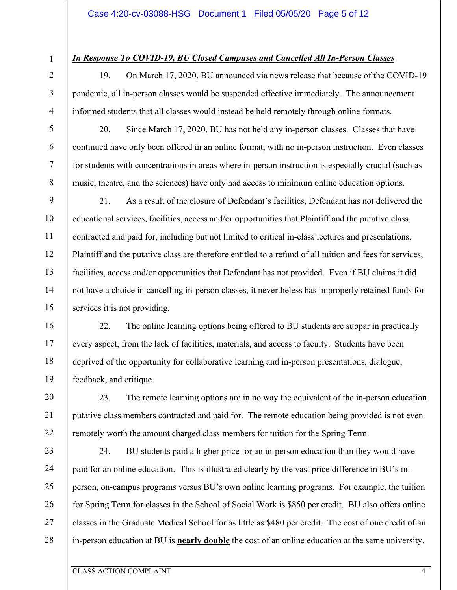1

2

3

4

5

6

7

8

9

10

11

12

13

14

15

16

17

18

19

20

21

22

### *In Response To COVID-19, BU Closed Campuses and Cancelled All In-Person Classes*

19. On March 17, 2020, BU announced via news release that because of the COVID-19 pandemic, all in-person classes would be suspended effective immediately. The announcement informed students that all classes would instead be held remotely through online formats.

20. Since March 17, 2020, BU has not held any in-person classes. Classes that have continued have only been offered in an online format, with no in-person instruction. Even classes for students with concentrations in areas where in-person instruction is especially crucial (such as music, theatre, and the sciences) have only had access to minimum online education options.

21. As a result of the closure of Defendant's facilities, Defendant has not delivered the educational services, facilities, access and/or opportunities that Plaintiff and the putative class contracted and paid for, including but not limited to critical in-class lectures and presentations. Plaintiff and the putative class are therefore entitled to a refund of all tuition and fees for services, facilities, access and/or opportunities that Defendant has not provided. Even if BU claims it did not have a choice in cancelling in-person classes, it nevertheless has improperly retained funds for services it is not providing.

22. The online learning options being offered to BU students are subpar in practically every aspect, from the lack of facilities, materials, and access to faculty. Students have been deprived of the opportunity for collaborative learning and in-person presentations, dialogue, feedback, and critique.

23. The remote learning options are in no way the equivalent of the in-person education putative class members contracted and paid for. The remote education being provided is not even remotely worth the amount charged class members for tuition for the Spring Term.

23 24 25 26 27 28 24. BU students paid a higher price for an in-person education than they would have paid for an online education. This is illustrated clearly by the vast price difference in BU's inperson, on-campus programs versus BU's own online learning programs. For example, the tuition for Spring Term for classes in the School of Social Work is \$850 per credit. BU also offers online classes in the Graduate Medical School for as little as \$480 per credit. The cost of one credit of an in-person education at BU is **nearly double** the cost of an online education at the same university.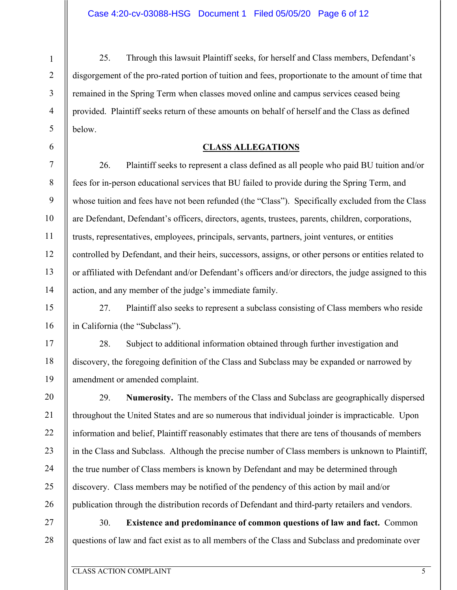25. Through this lawsuit Plaintiff seeks, for herself and Class members, Defendant's disgorgement of the pro-rated portion of tuition and fees, proportionate to the amount of time that remained in the Spring Term when classes moved online and campus services ceased being provided. Plaintiff seeks return of these amounts on behalf of herself and the Class as defined below.

### **CLASS ALLEGATIONS**

26. Plaintiff seeks to represent a class defined as all people who paid BU tuition and/or fees for in-person educational services that BU failed to provide during the Spring Term, and whose tuition and fees have not been refunded (the "Class"). Specifically excluded from the Class are Defendant, Defendant's officers, directors, agents, trustees, parents, children, corporations, trusts, representatives, employees, principals, servants, partners, joint ventures, or entities controlled by Defendant, and their heirs, successors, assigns, or other persons or entities related to or affiliated with Defendant and/or Defendant's officers and/or directors, the judge assigned to this action, and any member of the judge's immediate family.

15 16 27. Plaintiff also seeks to represent a subclass consisting of Class members who reside in California (the "Subclass").

28. Subject to additional information obtained through further investigation and discovery, the foregoing definition of the Class and Subclass may be expanded or narrowed by amendment or amended complaint.

29. **Numerosity.** The members of the Class and Subclass are geographically dispersed throughout the United States and are so numerous that individual joinder is impracticable. Upon information and belief, Plaintiff reasonably estimates that there are tens of thousands of members in the Class and Subclass. Although the precise number of Class members is unknown to Plaintiff, the true number of Class members is known by Defendant and may be determined through discovery. Class members may be notified of the pendency of this action by mail and/or publication through the distribution records of Defendant and third-party retailers and vendors.

27 28 30. **Existence and predominance of common questions of law and fact.** Common questions of law and fact exist as to all members of the Class and Subclass and predominate over

1

2

3

4

5

6

7

8

9

10

11

12

13

14

17

18

19

20

21

22

23

24

25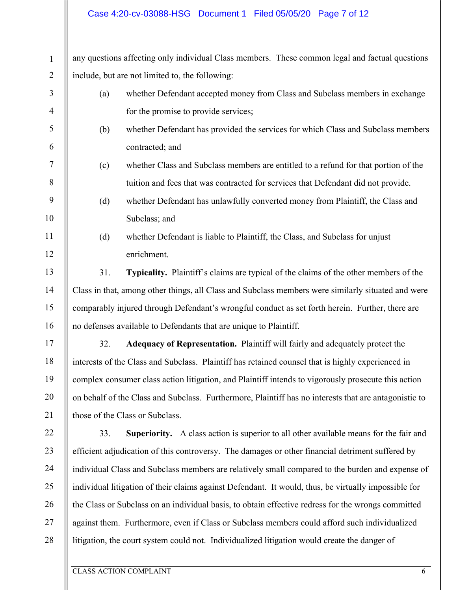## Case 4:20-cv-03088-HSG Document 1 Filed 05/05/20 Page 7 of 12

any questions affecting only individual Class members. These common legal and factual questions include, but are not limited to, the following:

| 3              | (a) | whether Defendant accepted money from Class and Subclass members in exchange                          |
|----------------|-----|-------------------------------------------------------------------------------------------------------|
| $\overline{4}$ |     | for the promise to provide services;                                                                  |
| 5              | (b) | whether Defendant has provided the services for which Class and Subclass members                      |
| 6              |     | contracted; and                                                                                       |
| $\tau$         | (c) | whether Class and Subclass members are entitled to a refund for that portion of the                   |
| 8              |     | tuition and fees that was contracted for services that Defendant did not provide.                     |
| 9              | (d) | whether Defendant has unlawfully converted money from Plaintiff, the Class and                        |
| 10             |     | Subclass; and                                                                                         |
| 11             | (d) | whether Defendant is liable to Plaintiff, the Class, and Subclass for unjust                          |
| 12             |     | enrichment.                                                                                           |
| 13             | 31. | Typicality. Plaintiff's claims are typical of the claims of the other members of the                  |
| 14             |     | Class in that, among other things, all Class and Subclass members were similarly situated and were    |
| 15             |     | comparably injured through Defendant's wrongful conduct as set forth herein. Further, there are       |
| 16             |     | no defenses available to Defendants that are unique to Plaintiff.                                     |
| 17             | 32. | Adequacy of Representation. Plaintiff will fairly and adequately protect the                          |
| 18             |     | interests of the Class and Subclass. Plaintiff has retained counsel that is highly experienced in     |
| 19             |     | complex consumer class action litigation, and Plaintiff intends to vigorously prosecute this action   |
| 20             |     | on behalf of the Class and Subclass. Furthermore, Plaintiff has no interests that are antagonistic to |
| 21             |     | those of the Class or Subclass.                                                                       |
| 22             | 33. | <b>Superiority.</b> A class action is superior to all other available means for the fair and          |
| 23             |     | efficient adjudication of this controversy. The damages or other financial detriment suffered by      |
| 24             |     | individual Class and Subclass members are relatively small compared to the burden and expense of      |
| 25             |     | individual litigation of their claims against Defendant. It would, thus, be virtually impossible for  |
| 26             |     | the Class or Subclass on an individual basis, to obtain effective redress for the wrongs committed    |
| 27             |     | against them. Furthermore, even if Class or Subclass members could afford such individualized         |
| 28             |     | litigation, the court system could not. Individualized litigation would create the danger of          |
|                |     |                                                                                                       |

1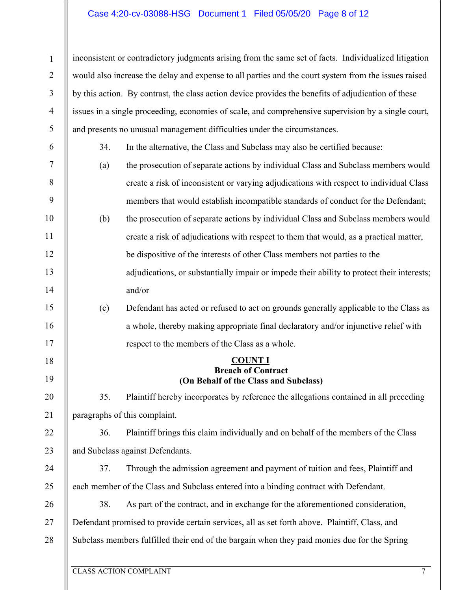### Case 4:20-cv-03088-HSG Document 1 Filed 05/05/20 Page 8 of 12

inconsistent or contradictory judgments arising from the same set of facts. Individualized litigation would also increase the delay and expense to all parties and the court system from the issues raised by this action. By contrast, the class action device provides the benefits of adjudication of these issues in a single proceeding, economies of scale, and comprehensive supervision by a single court, and presents no unusual management difficulties under the circumstances.

- 6 7 8 9 10 11 12 13 14 34. In the alternative, the Class and Subclass may also be certified because: (a) the prosecution of separate actions by individual Class and Subclass members would create a risk of inconsistent or varying adjudications with respect to individual Class members that would establish incompatible standards of conduct for the Defendant; (b) the prosecution of separate actions by individual Class and Subclass members would create a risk of adjudications with respect to them that would, as a practical matter, be dispositive of the interests of other Class members not parties to the adjudications, or substantially impair or impede their ability to protect their interests; and/or
	- (c) Defendant has acted or refused to act on grounds generally applicable to the Class as a whole, thereby making appropriate final declaratory and/or injunctive relief with respect to the members of the Class as a whole.

### **COUNT I Breach of Contract (On Behalf of the Class and Subclass)**

35. Plaintiff hereby incorporates by reference the allegations contained in all preceding paragraphs of this complaint.

22 23 36. Plaintiff brings this claim individually and on behalf of the members of the Class and Subclass against Defendants.

24 25 37. Through the admission agreement and payment of tuition and fees, Plaintiff and each member of the Class and Subclass entered into a binding contract with Defendant.

26 27 28 38. As part of the contract, and in exchange for the aforementioned consideration, Defendant promised to provide certain services, all as set forth above. Plaintiff, Class, and Subclass members fulfilled their end of the bargain when they paid monies due for the Spring

1

2

3

4

5

15

16

17

18

19

20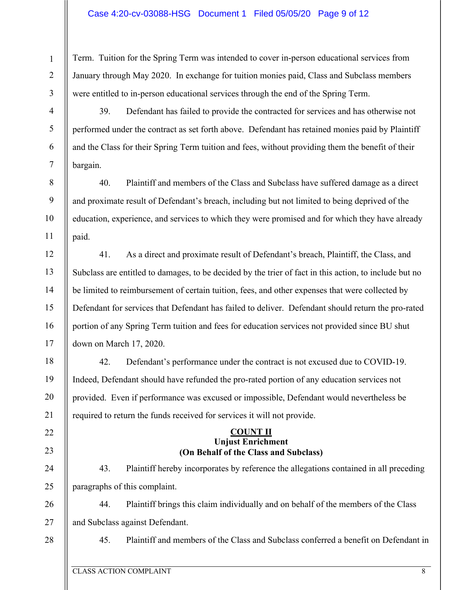### Case 4:20-cv-03088-HSG Document 1 Filed 05/05/20 Page 9 of 12

Term. Tuition for the Spring Term was intended to cover in-person educational services from January through May 2020. In exchange for tuition monies paid, Class and Subclass members were entitled to in-person educational services through the end of the Spring Term.

39. Defendant has failed to provide the contracted for services and has otherwise not performed under the contract as set forth above. Defendant has retained monies paid by Plaintiff and the Class for their Spring Term tuition and fees, without providing them the benefit of their bargain.

40. Plaintiff and members of the Class and Subclass have suffered damage as a direct and proximate result of Defendant's breach, including but not limited to being deprived of the education, experience, and services to which they were promised and for which they have already paid.

12 13 14 15 16 17 41. As a direct and proximate result of Defendant's breach, Plaintiff, the Class, and Subclass are entitled to damages, to be decided by the trier of fact in this action, to include but no be limited to reimbursement of certain tuition, fees, and other expenses that were collected by Defendant for services that Defendant has failed to deliver. Defendant should return the pro-rated portion of any Spring Term tuition and fees for education services not provided since BU shut down on March 17, 2020.

42. Defendant's performance under the contract is not excused due to COVID-19. Indeed, Defendant should have refunded the pro-rated portion of any education services not provided. Even if performance was excused or impossible, Defendant would nevertheless be required to return the funds received for services it will not provide.

### **COUNT II Unjust Enrichment (On Behalf of the Class and Subclass)**

43. Plaintiff hereby incorporates by reference the allegations contained in all preceding paragraphs of this complaint.

26 27 44. Plaintiff brings this claim individually and on behalf of the members of the Class and Subclass against Defendant.

28

1

2

3

4

5

6

7

8

9

10

11

18

19

20

21

22

23

24

25

45. Plaintiff and members of the Class and Subclass conferred a benefit on Defendant in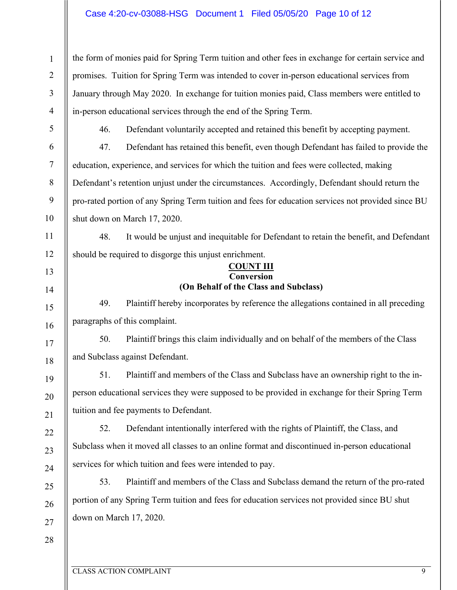### Case 4:20-cv-03088-HSG Document 1 Filed 05/05/20 Page 10 of 12

1 2 3 4 5 6 7 8 9 10 11 12 13 14 15 16 17 18 19 20 21 22 23 24 25 26 27 28 the form of monies paid for Spring Term tuition and other fees in exchange for certain service and promises. Tuition for Spring Term was intended to cover in-person educational services from January through May 2020. In exchange for tuition monies paid, Class members were entitled to in-person educational services through the end of the Spring Term. 46. Defendant voluntarily accepted and retained this benefit by accepting payment. 47. Defendant has retained this benefit, even though Defendant has failed to provide the education, experience, and services for which the tuition and fees were collected, making Defendant's retention unjust under the circumstances. Accordingly, Defendant should return the pro-rated portion of any Spring Term tuition and fees for education services not provided since BU shut down on March 17, 2020. 48. It would be unjust and inequitable for Defendant to retain the benefit, and Defendant should be required to disgorge this unjust enrichment. **COUNT III Conversion (On Behalf of the Class and Subclass)** 49. Plaintiff hereby incorporates by reference the allegations contained in all preceding paragraphs of this complaint. 50. Plaintiff brings this claim individually and on behalf of the members of the Class and Subclass against Defendant. 51. Plaintiff and members of the Class and Subclass have an ownership right to the inperson educational services they were supposed to be provided in exchange for their Spring Term tuition and fee payments to Defendant. 52. Defendant intentionally interfered with the rights of Plaintiff, the Class, and Subclass when it moved all classes to an online format and discontinued in-person educational services for which tuition and fees were intended to pay. 53. Plaintiff and members of the Class and Subclass demand the return of the pro-rated portion of any Spring Term tuition and fees for education services not provided since BU shut down on March 17, 2020.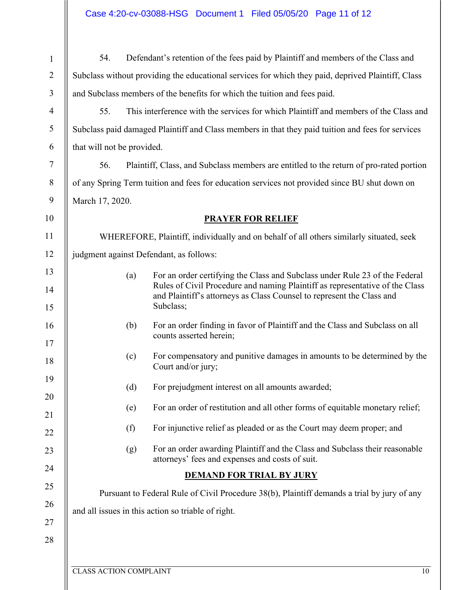| $\mathbf{1}$   | Defendant's retention of the fees paid by Plaintiff and members of the Class and<br>54.            |                                                                                                                                                       |  |  |  |  |  |  |
|----------------|----------------------------------------------------------------------------------------------------|-------------------------------------------------------------------------------------------------------------------------------------------------------|--|--|--|--|--|--|
| $\overline{2}$ | Subclass without providing the educational services for which they paid, deprived Plaintiff, Class |                                                                                                                                                       |  |  |  |  |  |  |
| $\mathfrak{Z}$ | and Subclass members of the benefits for which the tuition and fees paid.                          |                                                                                                                                                       |  |  |  |  |  |  |
| $\overline{4}$ | 55.<br>This interference with the services for which Plaintiff and members of the Class and        |                                                                                                                                                       |  |  |  |  |  |  |
| $\mathfrak{S}$ | Subclass paid damaged Plaintiff and Class members in that they paid tuition and fees for services  |                                                                                                                                                       |  |  |  |  |  |  |
| 6              | that will not be provided.                                                                         |                                                                                                                                                       |  |  |  |  |  |  |
| 7              | 56.                                                                                                | Plaintiff, Class, and Subclass members are entitled to the return of pro-rated portion                                                                |  |  |  |  |  |  |
| $\,8\,$        |                                                                                                    | of any Spring Term tuition and fees for education services not provided since BU shut down on                                                         |  |  |  |  |  |  |
| 9              | March 17, 2020.                                                                                    |                                                                                                                                                       |  |  |  |  |  |  |
| 10             |                                                                                                    | <b>PRAYER FOR RELIEF</b>                                                                                                                              |  |  |  |  |  |  |
| 11             |                                                                                                    | WHEREFORE, Plaintiff, individually and on behalf of all others similarly situated, seek                                                               |  |  |  |  |  |  |
| 12             | judgment against Defendant, as follows:                                                            |                                                                                                                                                       |  |  |  |  |  |  |
| 13             | (a)                                                                                                | For an order certifying the Class and Subclass under Rule 23 of the Federal                                                                           |  |  |  |  |  |  |
| 14             |                                                                                                    | Rules of Civil Procedure and naming Plaintiff as representative of the Class<br>and Plaintiff's attorneys as Class Counsel to represent the Class and |  |  |  |  |  |  |
| 15             |                                                                                                    | Subclass;                                                                                                                                             |  |  |  |  |  |  |
| 16             | (b)                                                                                                | For an order finding in favor of Plaintiff and the Class and Subclass on all                                                                          |  |  |  |  |  |  |
| 17             |                                                                                                    | counts asserted herein;                                                                                                                               |  |  |  |  |  |  |
| 18             | (c)                                                                                                | For compensatory and punitive damages in amounts to be determined by the<br>Court and/or jury;                                                        |  |  |  |  |  |  |
| 19             | (d)                                                                                                | For prejudgment interest on all amounts awarded;                                                                                                      |  |  |  |  |  |  |
| 20             | (e)                                                                                                | For an order of restitution and all other forms of equitable monetary relief;                                                                         |  |  |  |  |  |  |
| 21             |                                                                                                    |                                                                                                                                                       |  |  |  |  |  |  |
| 22             | (f)                                                                                                | For injunctive relief as pleaded or as the Court may deem proper; and                                                                                 |  |  |  |  |  |  |
| 23             | (g)                                                                                                | For an order awarding Plaintiff and the Class and Subclass their reasonable<br>attorneys' fees and expenses and costs of suit.                        |  |  |  |  |  |  |
| 24             |                                                                                                    | <b>DEMAND FOR TRIAL BY JURY</b>                                                                                                                       |  |  |  |  |  |  |
| 25             |                                                                                                    | Pursuant to Federal Rule of Civil Procedure 38(b), Plaintiff demands a trial by jury of any                                                           |  |  |  |  |  |  |
| 26             |                                                                                                    | and all issues in this action so triable of right.                                                                                                    |  |  |  |  |  |  |
| 27             |                                                                                                    |                                                                                                                                                       |  |  |  |  |  |  |
| 28             |                                                                                                    |                                                                                                                                                       |  |  |  |  |  |  |
|                |                                                                                                    |                                                                                                                                                       |  |  |  |  |  |  |

 $\overline{\phantom{a}}$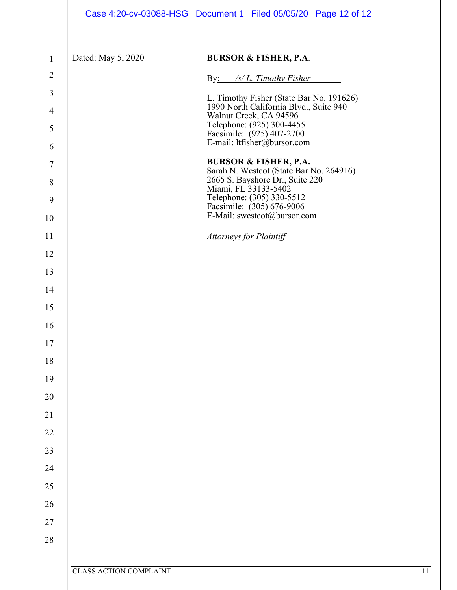|                  |                               | Case 4:20-cv-03088-HSG Document 1 Filed 05/05/20 Page 12 of 12                        |    |
|------------------|-------------------------------|---------------------------------------------------------------------------------------|----|
| $\mathbf{1}$     | Dated: May 5, 2020            | <b>BURSOR &amp; FISHER, P.A.</b>                                                      |    |
| $\overline{2}$   |                               | By: /s/L. Timothy Fisher                                                              |    |
| $\mathfrak{Z}$   |                               | L. Timothy Fisher (State Bar No. 191626)<br>1990 North California Blvd., Suite 940    |    |
| $\overline{4}$   |                               | Walnut Creek, CA 94596                                                                |    |
| 5                |                               | Telephone: (925) 300-4455<br>Facsimile: (925) 407-2700<br>E-mail: ltfisher@bursor.com |    |
| 6                |                               | <b>BURSOR &amp; FISHER, P.A.</b>                                                      |    |
| $\tau$           |                               | Sarah N. Westcot (State Bar No. 264916)<br>2665 S. Bayshore Dr., Suite 220            |    |
| $\,8\,$          |                               | Miami, FL 33133-5402                                                                  |    |
| $\boldsymbol{9}$ |                               | Telephone: (305) 330-5512<br>Facsimile: (305) 676-9006<br>E-Mail: swestcot@bursor.com |    |
| 10<br>11         |                               |                                                                                       |    |
| 12               |                               | <b>Attorneys for Plaintiff</b>                                                        |    |
| 13               |                               |                                                                                       |    |
| 14               |                               |                                                                                       |    |
| 15               |                               |                                                                                       |    |
| 16               |                               |                                                                                       |    |
| 17               |                               |                                                                                       |    |
| 18               |                               |                                                                                       |    |
| 19               |                               |                                                                                       |    |
| $20\,$           |                               |                                                                                       |    |
| 21               |                               |                                                                                       |    |
| $22\,$           |                               |                                                                                       |    |
| 23               |                               |                                                                                       |    |
| 24               |                               |                                                                                       |    |
| $25\,$           |                               |                                                                                       |    |
| 26               |                               |                                                                                       |    |
| $27\,$           |                               |                                                                                       |    |
| $28\,$           |                               |                                                                                       |    |
|                  |                               |                                                                                       |    |
|                  | <b>CLASS ACTION COMPLAINT</b> |                                                                                       | 11 |